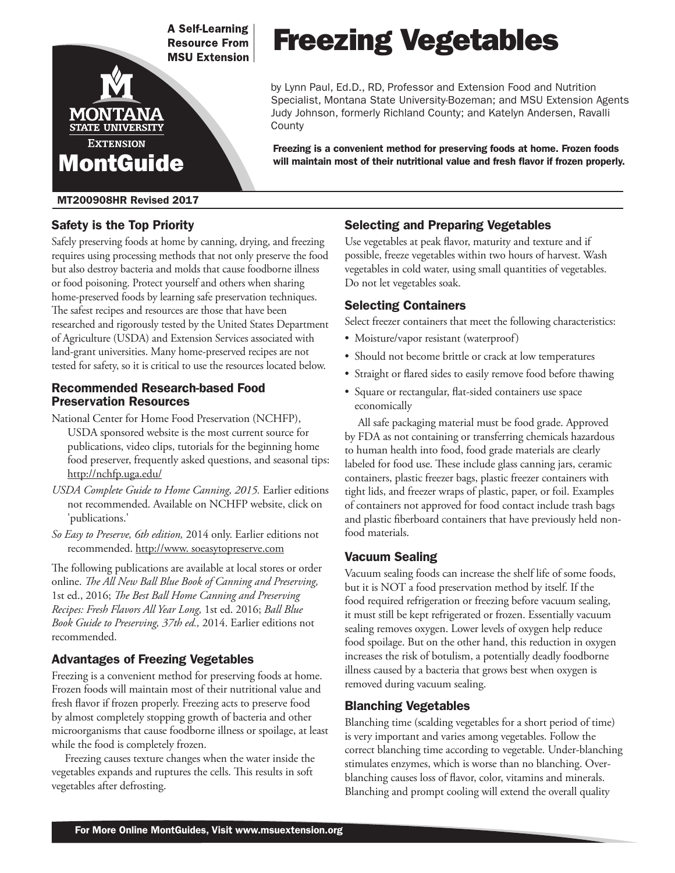

#### MT200908HR Revised 2017

## Safety is the Top Priority

Safely preserving foods at home by canning, drying, and freezing requires using processing methods that not only preserve the food but also destroy bacteria and molds that cause foodborne illness or food poisoning. Protect yourself and others when sharing home-preserved foods by learning safe preservation techniques. The safest recipes and resources are those that have been researched and rigorously tested by the United States Department of Agriculture (USDA) and Extension Services associated with land-grant universities. Many home-preserved recipes are not tested for safety, so it is critical to use the resources located below.

#### Recommended Research-based Food Preservation Resources

- National Center for Home Food Preservation (NCHFP), USDA sponsored website is the most current source for publications, video clips, tutorials for the beginning home food preserver, frequently asked questions, and seasonal tips: http://nchfp.uga.edu/
- *USDA Complete Guide to Home Canning, 2015.* Earlier editions not recommended. Available on NCHFP website, click on 'publications.'
- *So Easy to Preserve, 6th edition,* 2014 only. Earlier editions not recommended. http://www. soeasytopreserve.com

The following publications are available at local stores or order online. *The All New Ball Blue Book of Canning and Preserving,* 1st ed., 2016; *The Best Ball Home Canning and Preserving Recipes: Fresh Flavors All Year Long,* 1st ed. 2016; *Ball Blue Book Guide to Preserving, 37th ed.,* 2014. Earlier editions not recommended.

## Advantages of Freezing Vegetables

Freezing is a convenient method for preserving foods at home. Frozen foods will maintain most of their nutritional value and fresh flavor if frozen properly. Freezing acts to preserve food by almost completely stopping growth of bacteria and other microorganisms that cause foodborne illness or spoilage, at least while the food is completely frozen.

Freezing causes texture changes when the water inside the vegetables expands and ruptures the cells. This results in soft vegetables after defrosting.

# Freezing Vegetables

by Lynn Paul, Ed.D., RD, Professor and Extension Food and Nutrition Specialist, Montana State University-Bozeman; and MSU Extension Agents Judy Johnson, formerly Richland County; and Katelyn Andersen, Ravalli County

Freezing is a convenient method for preserving foods at home. Frozen foods will maintain most of their nutritional value and fresh flavor if frozen properly.

## Selecting and Preparing Vegetables

Use vegetables at peak flavor, maturity and texture and if possible, freeze vegetables within two hours of harvest. Wash vegetables in cold water, using small quantities of vegetables. Do not let vegetables soak.

#### Selecting Containers

Select freezer containers that meet the following characteristics:

- Moisture/vapor resistant (waterproof)
- Should not become brittle or crack at low temperatures
- Straight or flared sides to easily remove food before thawing
- Square or rectangular, flat-sided containers use space economically

All safe packaging material must be food grade. Approved by FDA as not containing or transferring chemicals hazardous to human health into food, food grade materials are clearly labeled for food use. These include glass canning jars, ceramic containers, plastic freezer bags, plastic freezer containers with tight lids, and freezer wraps of plastic, paper, or foil. Examples of containers not approved for food contact include trash bags and plastic fiberboard containers that have previously held nonfood materials.

## Vacuum Sealing

Vacuum sealing foods can increase the shelf life of some foods, but it is NOT a food preservation method by itself. If the food required refrigeration or freezing before vacuum sealing, it must still be kept refrigerated or frozen. Essentially vacuum sealing removes oxygen. Lower levels of oxygen help reduce food spoilage. But on the other hand, this reduction in oxygen increases the risk of botulism, a potentially deadly foodborne illness caused by a bacteria that grows best when oxygen is removed during vacuum sealing.

## Blanching Vegetables

Blanching time (scalding vegetables for a short period of time) is very important and varies among vegetables. Follow the correct blanching time according to vegetable. Under-blanching stimulates enzymes, which is worse than no blanching. Overblanching causes loss of flavor, color, vitamins and minerals. Blanching and prompt cooling will extend the overall quality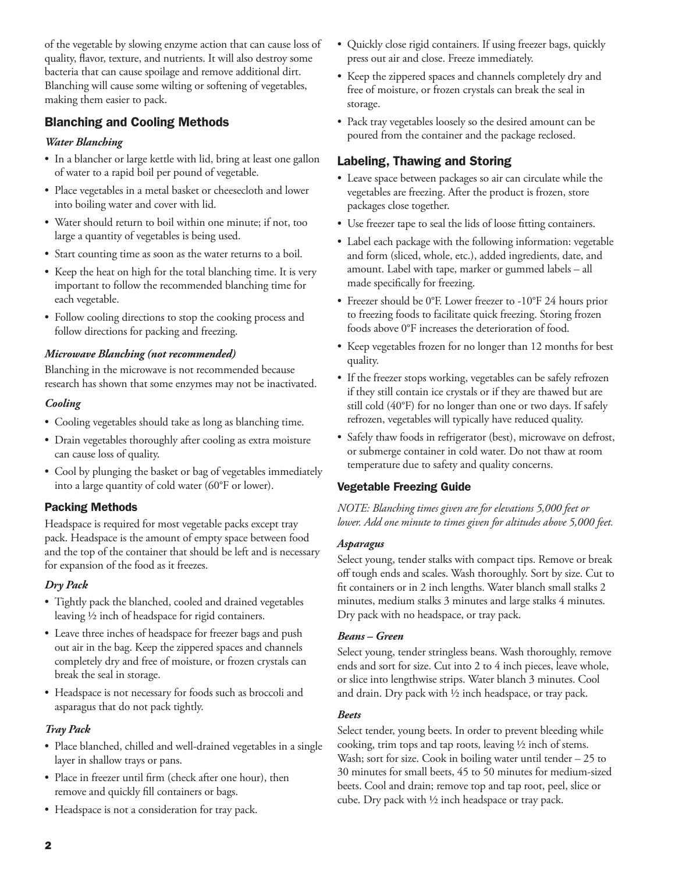of the vegetable by slowing enzyme action that can cause loss of quality, flavor, texture, and nutrients. It will also destroy some bacteria that can cause spoilage and remove additional dirt. Blanching will cause some wilting or softening of vegetables, making them easier to pack.

## Blanching and Cooling Methods

## *Water Blanching*

- In a blancher or large kettle with lid, bring at least one gallon of water to a rapid boil per pound of vegetable.
- Place vegetables in a metal basket or cheesecloth and lower into boiling water and cover with lid.
- Water should return to boil within one minute; if not, too large a quantity of vegetables is being used.
- Start counting time as soon as the water returns to a boil.
- Keep the heat on high for the total blanching time. It is very important to follow the recommended blanching time for each vegetable.
- Follow cooling directions to stop the cooking process and follow directions for packing and freezing.

## *Microwave Blanching (not recommended)*

Blanching in the microwave is not recommended because research has shown that some enzymes may not be inactivated.

## *Cooling*

- Cooling vegetables should take as long as blanching time.
- Drain vegetables thoroughly after cooling as extra moisture can cause loss of quality.
- Cool by plunging the basket or bag of vegetables immediately into a large quantity of cold water (60°F or lower).

## Packing Methods

Headspace is required for most vegetable packs except tray pack. Headspace is the amount of empty space between food and the top of the container that should be left and is necessary for expansion of the food as it freezes.

## *Dry Pack*

- Tightly pack the blanched, cooled and drained vegetables leaving ½ inch of headspace for rigid containers.
- Leave three inches of headspace for freezer bags and push out air in the bag. Keep the zippered spaces and channels completely dry and free of moisture, or frozen crystals can break the seal in storage.
- Headspace is not necessary for foods such as broccoli and asparagus that do not pack tightly.

# *Tray Pack*

- Place blanched, chilled and well-drained vegetables in a single layer in shallow trays or pans.
- Place in freezer until firm (check after one hour), then remove and quickly fill containers or bags.
- Headspace is not a consideration for tray pack.
- Quickly close rigid containers. If using freezer bags, quickly press out air and close. Freeze immediately.
- Keep the zippered spaces and channels completely dry and free of moisture, or frozen crystals can break the seal in storage.
- Pack tray vegetables loosely so the desired amount can be poured from the container and the package reclosed.

# Labeling, Thawing and Storing

- Leave space between packages so air can circulate while the vegetables are freezing. After the product is frozen, store packages close together.
- Use freezer tape to seal the lids of loose fitting containers.
- Label each package with the following information: vegetable and form (sliced, whole, etc.), added ingredients, date, and amount. Label with tape, marker or gummed labels – all made specifically for freezing.
- Freezer should be 0°F. Lower freezer to -10°F 24 hours prior to freezing foods to facilitate quick freezing. Storing frozen foods above 0°F increases the deterioration of food.
- Keep vegetables frozen for no longer than 12 months for best quality.
- If the freezer stops working, vegetables can be safely refrozen if they still contain ice crystals or if they are thawed but are still cold (40°F) for no longer than one or two days. If safely refrozen, vegetables will typically have reduced quality.
- Safely thaw foods in refrigerator (best), microwave on defrost, or submerge container in cold water. Do not thaw at room temperature due to safety and quality concerns.

# Vegetable Freezing Guide

*NOTE: Blanching times given are for elevations 5,000 feet or lower. Add one minute to times given for altitudes above 5,000 feet.*

# *Asparagus*

Select young, tender stalks with compact tips. Remove or break off tough ends and scales. Wash thoroughly. Sort by size. Cut to fit containers or in 2 inch lengths. Water blanch small stalks 2 minutes, medium stalks 3 minutes and large stalks 4 minutes. Dry pack with no headspace, or tray pack.

# *Beans – Green*

Select young, tender stringless beans. Wash thoroughly, remove ends and sort for size. Cut into 2 to 4 inch pieces, leave whole, or slice into lengthwise strips. Water blanch 3 minutes. Cool and drain. Dry pack with ½ inch headspace, or tray pack.

## *Beets*

Select tender, young beets. In order to prevent bleeding while cooking, trim tops and tap roots, leaving ½ inch of stems. Wash; sort for size. Cook in boiling water until tender  $-25$  to 30 minutes for small beets, 45 to 50 minutes for medium-sized beets. Cool and drain; remove top and tap root, peel, slice or cube. Dry pack with ½ inch headspace or tray pack.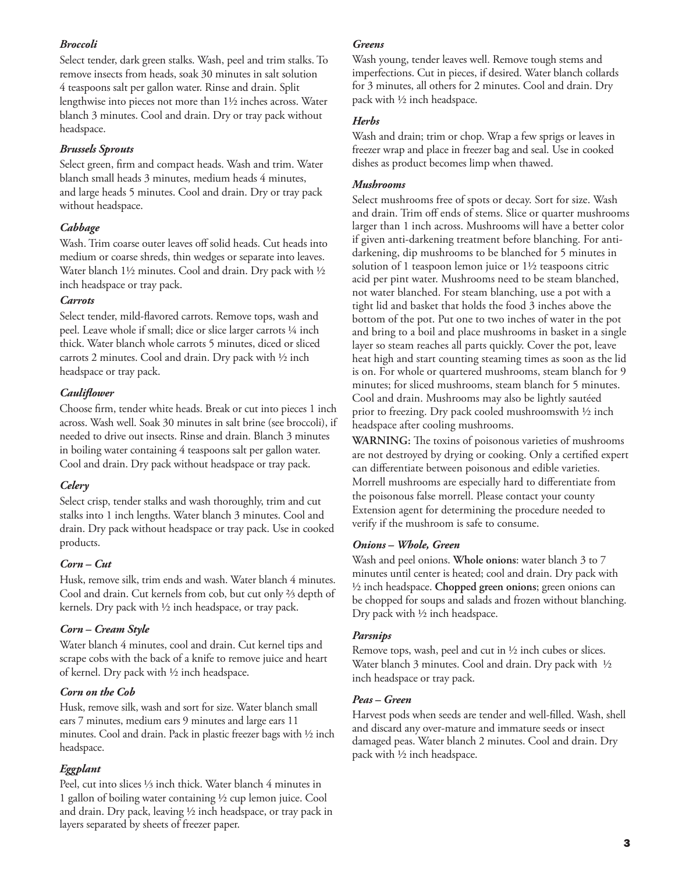#### *Broccoli*

Select tender, dark green stalks. Wash, peel and trim stalks. To remove insects from heads, soak 30 minutes in salt solution 4 teaspoons salt per gallon water. Rinse and drain. Split lengthwise into pieces not more than 1½ inches across. Water blanch 3 minutes. Cool and drain. Dry or tray pack without headspace.

#### *Brussels Sprouts*

Select green, firm and compact heads. Wash and trim. Water blanch small heads 3 minutes, medium heads 4 minutes, and large heads 5 minutes. Cool and drain. Dry or tray pack without headspace.

## *Cabbage*

Wash. Trim coarse outer leaves off solid heads. Cut heads into medium or coarse shreds, thin wedges or separate into leaves. Water blanch 1½ minutes. Cool and drain. Dry pack with ½ inch headspace or tray pack.

#### *Carrots*

Select tender, mild-flavored carrots. Remove tops, wash and peel. Leave whole if small; dice or slice larger carrots ¼ inch thick. Water blanch whole carrots 5 minutes, diced or sliced carrots 2 minutes. Cool and drain. Dry pack with ½ inch headspace or tray pack.

## *Cauliflower*

Choose firm, tender white heads. Break or cut into pieces 1 inch across. Wash well. Soak 30 minutes in salt brine (see broccoli), if needed to drive out insects. Rinse and drain. Blanch 3 minutes in boiling water containing 4 teaspoons salt per gallon water. Cool and drain. Dry pack without headspace or tray pack.

## *Celery*

Select crisp, tender stalks and wash thoroughly, trim and cut stalks into 1 inch lengths. Water blanch 3 minutes. Cool and drain. Dry pack without headspace or tray pack. Use in cooked products.

## *Corn – Cut*

Husk, remove silk, trim ends and wash. Water blanch 4 minutes. Cool and drain. Cut kernels from cob, but cut only ⅔ depth of kernels. Dry pack with ½ inch headspace, or tray pack.

## *Corn – Cream Style*

Water blanch 4 minutes, cool and drain. Cut kernel tips and scrape cobs with the back of a knife to remove juice and heart of kernel. Dry pack with ½ inch headspace.

## *Corn on the Cob*

Husk, remove silk, wash and sort for size. Water blanch small ears 7 minutes, medium ears 9 minutes and large ears 11 minutes. Cool and drain. Pack in plastic freezer bags with ½ inch headspace.

## *Eggplant*

Peel, cut into slices ⅓ inch thick. Water blanch 4 minutes in 1 gallon of boiling water containing ½ cup lemon juice. Cool and drain. Dry pack, leaving ½ inch headspace, or tray pack in layers separated by sheets of freezer paper.

#### *Greens*

Wash young, tender leaves well. Remove tough stems and imperfections. Cut in pieces, if desired. Water blanch collards for 3 minutes, all others for 2 minutes. Cool and drain. Dry pack with ½ inch headspace.

#### *Herbs*

Wash and drain; trim or chop. Wrap a few sprigs or leaves in freezer wrap and place in freezer bag and seal. Use in cooked dishes as product becomes limp when thawed.

#### *Mushrooms*

Select mushrooms free of spots or decay. Sort for size. Wash and drain. Trim off ends of stems. Slice or quarter mushrooms larger than 1 inch across. Mushrooms will have a better color if given anti-darkening treatment before blanching. For antidarkening, dip mushrooms to be blanched for 5 minutes in solution of 1 teaspoon lemon juice or 1½ teaspoons citric acid per pint water. Mushrooms need to be steam blanched, not water blanched. For steam blanching, use a pot with a tight lid and basket that holds the food 3 inches above the bottom of the pot. Put one to two inches of water in the pot and bring to a boil and place mushrooms in basket in a single layer so steam reaches all parts quickly. Cover the pot, leave heat high and start counting steaming times as soon as the lid is on. For whole or quartered mushrooms, steam blanch for 9 minutes; for sliced mushrooms, steam blanch for 5 minutes. Cool and drain. Mushrooms may also be lightly sautéed prior to freezing. Dry pack cooled mushroomswith ½ inch headspace after cooling mushrooms.

**WARNING:** The toxins of poisonous varieties of mushrooms are not destroyed by drying or cooking. Only a certified expert can differentiate between poisonous and edible varieties. Morrell mushrooms are especially hard to differentiate from the poisonous false morrell. Please contact your county Extension agent for determining the procedure needed to verify if the mushroom is safe to consume.

## *Onions – Whole, Green*

Wash and peel onions. **Whole onions**: water blanch 3 to 7 minutes until center is heated; cool and drain. Dry pack with ½ inch headspace. **Chopped green onions**; green onions can be chopped for soups and salads and frozen without blanching. Dry pack with ½ inch headspace.

## *Parsnips*

Remove tops, wash, peel and cut in ½ inch cubes or slices. Water blanch 3 minutes. Cool and drain. Dry pack with 1/2 inch headspace or tray pack.

## *Peas – Green*

Harvest pods when seeds are tender and well-filled. Wash, shell and discard any over-mature and immature seeds or insect damaged peas. Water blanch 2 minutes. Cool and drain. Dry pack with ½ inch headspace.